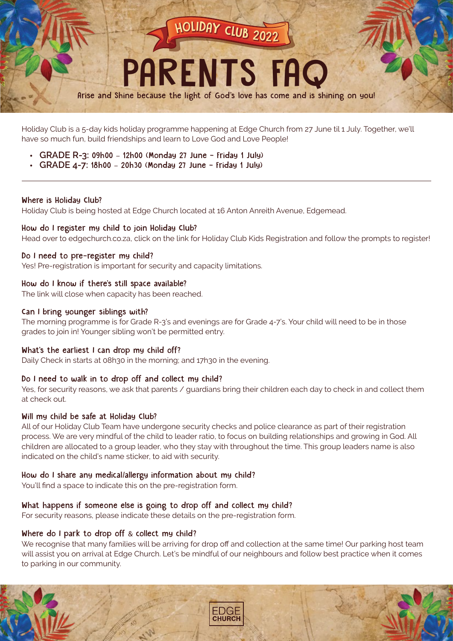

Holiday Club is a 5-day kids holiday programme happening at Edge Church from 27 June til 1 July. Together, we'll have so much fun, build friendships and learn to Love God and Love People!

- **GRADE R-3:** 09h00 12h00 (Monday 27 June Friday 1 July)
- **GRADE 4-7:** 18h00 20h30 (Monday 27 June Friday 1 July)

### Where is Holiday Club?

Holiday Club is being hosted at Edge Church located at 16 Anton Anreith Avenue, Edgemead.

### How do I register my child to join Holiday Club?

Head over to edgechurch.co.za, click on the link for Holiday Club Kids Registration and follow the prompts to register!

### Do I need to pre-register my child?

Yes! Pre-registration is important for security and capacity limitations.

## How do I know if there's still space available?

The link will close when capacity has been reached.

### Can I bring younger siblings with?

The morning programme is for Grade R-3's and evenings are for Grade 4-7's. Your child will need to be in those grades to join in! Younger sibling won't be permitted entry.

# What's the earliest I can drop my child off?

Daily Check in starts at 08h30 in the morning; and 17h30 in the evening.

# Do I need to walk in to drop off and collect my child?

Yes, for security reasons, we ask that parents / guardians bring their children each day to check in and collect them at check out.

### Will my child be safe at Holiday Club?

All of our Holiday Club Team have undergone security checks and police clearance as part of their registration process. We are very mindful of the child to leader ratio, to focus on building relationships and growing in God. All children are allocated to a group leader, who they stay with throughout the time. This group leaders name is also indicated on the child's name sticker, to aid with security.

### How do I share any medical/allergy information about my child?

You'll find a space to indicate this on the pre-registration form.

# What happens if someone else is going to drop off and collect my child?

For security reasons, please indicate these details on the pre-registration form.

# Where do I park to drop off & collect my child?

We recognise that many families will be arriving for drop off and collection at the same time! Our parking host team will assist you on arrival at Edge Church. Let's be mindful of our neighbours and follow best practice when it comes to parking in our community.